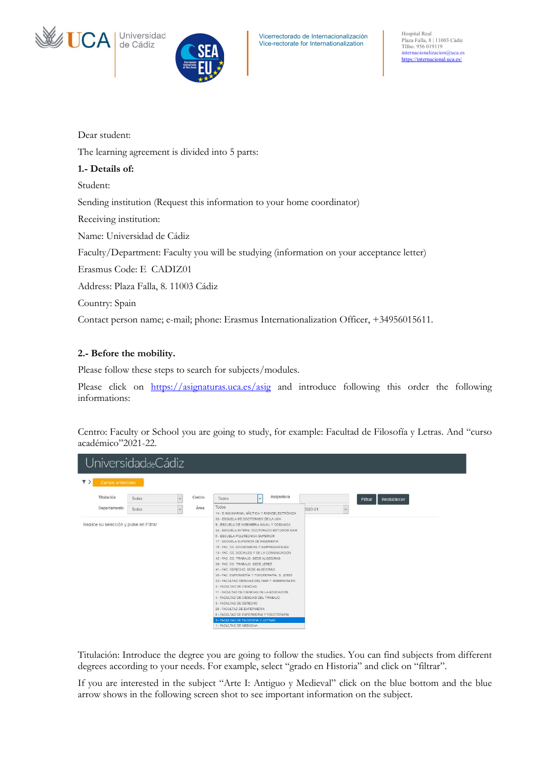



Hospital Real Plaza Falla, 8 | 11003 Cádiz Tlfno. 956 019119 internacionalizacion@uca.es https://internacional.uca.es/

Dear student:

The learning agreement is divided into 5 parts:

## 1.- Details of:

Student:

Sending institution (Request this information to your home coordinator)

Receiving institution:

Name: Universidad de Cádiz

Faculty/Department: Faculty you will be studying (information on your acceptance letter)

Erasmus Code: E CADIZ01

Address: Plaza Falla, 8. 11003 Cádiz

Country: Spain

Contact person name; e-mail; phone: Erasmus Internationalization Officer, +34956015611.

# 2.- Before the mobility.

Please follow these steps to search for subjects/modules.

Please click on https://asignaturas.uca.es/asig and introduce following this order the following informations:

Centro: Faculty or School you are going to study, for example: Facultad de Filosofía y Letras. And "curso académico"2021-22.

| UniversidaddeCádiz                         |       |                     |        |                                                                                                                                                                                                                                                                                                                                                                                                                                                                                                                                                                                                                            |                         |                                                                                                                                              |         |   |                        |  |
|--------------------------------------------|-------|---------------------|--------|----------------------------------------------------------------------------------------------------------------------------------------------------------------------------------------------------------------------------------------------------------------------------------------------------------------------------------------------------------------------------------------------------------------------------------------------------------------------------------------------------------------------------------------------------------------------------------------------------------------------------|-------------------------|----------------------------------------------------------------------------------------------------------------------------------------------|---------|---|------------------------|--|
| $\overline{Y}$<br><b>Cursos anteriores</b> |       |                     |        |                                                                                                                                                                                                                                                                                                                                                                                                                                                                                                                                                                                                                            |                         |                                                                                                                                              |         |   |                        |  |
| Titulación                                 | Todas | $\ddot{\mathbf{v}}$ | Centro | Todos                                                                                                                                                                                                                                                                                                                                                                                                                                                                                                                                                                                                                      | $\overline{\mathbf{v}}$ | Asignatura                                                                                                                                   |         |   | Restablecer<br>Filtrar |  |
| Departamento                               | Todos | $\ddot{\mathbf{v}}$ | Área   | Todos                                                                                                                                                                                                                                                                                                                                                                                                                                                                                                                                                                                                                      |                         | 14 - E.ING.MARINA, NAUTICA Y RADIOELECTRÓNICA                                                                                                | 2020-21 | V |                        |  |
| Realice su selección y pulse en Filtrar    |       |                     |        | 9 - ESCUELA DE INGENIERIA NAVAL Y OCEANICA<br>6 - ESCUELA POLITECNICA SUPERIOR<br>17 - ESCUELA SUPERIOR DE INGENIERIA<br>15 - FAC. CC. ECONOMICAS Y EMPRESARIALES<br>13 - FAC. CC. SOCIALES Y DE LA COMUNICACION<br>42 - FAC. CC. TRABAJO. SEDE ALGECIRAS<br>39 - FAC CC TRABAJO SEDE JEREZ<br>41 - FAC, DERECHO, SEDE ALGECIRAS<br>2 - FACULTAD DE CIENCIAS<br>11 - FACULTAD DE CIENCIAS DE LA EDUCACION<br>4 - FACULTAD DE CIENCIAS DEL TRABAJO<br>3 - FACULTAD DE DERECHO<br>20 - FACULTAD DE ENFERMERIA<br>8 - FACULTAD DE ENFERMERIA Y FISIOTERAPIA<br>5 - FACULTAD DE FILOSOFIA Y LETRAS<br>1 - FACULTAD DE MEDICINA |                         | 34 - ESCUELA INTERN, DOCTORADO ESTUDIOS MAR<br>36 - FAC. ENFERMERÍA Y FISIOTERAPIA, S. JEREZ<br>23 - FACULTAD CIENCIAS DEL MAR Y AMBIENTALES |         |   |                        |  |

Titulación: Introduce the degree you are going to follow the studies. You can find subjects from different degrees according to your needs. For example, select "grado en Historia" and click on "filtrar".

If you are interested in the subject "Arte I: Antiguo y Medieval" click on the blue bottom and the blue arrow shows in the following screen shot to see important information on the subject.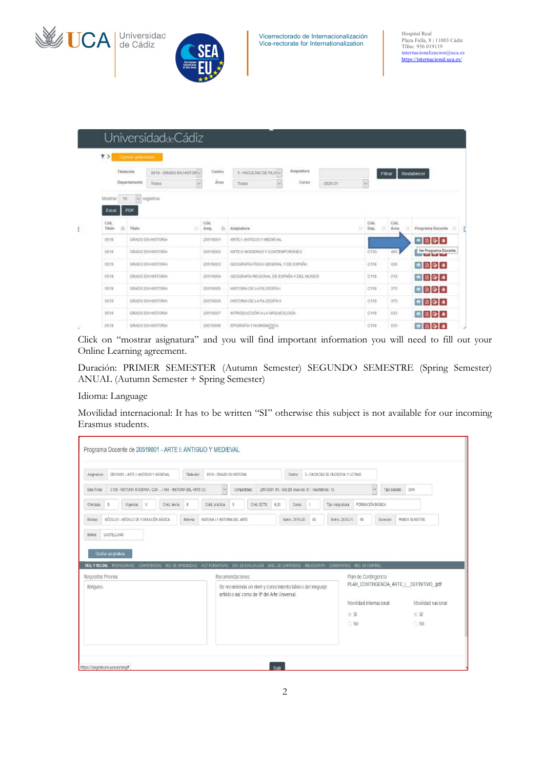



Vicerrectorado de Internacionalización Vice-rectorate for Internationalization

|                | <b>CONTROLLER</b><br>Titlatackin |              |                          |   | Centro        |     |                                          | Asignatura |         |   |              |         |                   |                                                               |  |
|----------------|----------------------------------|--------------|--------------------------|---|---------------|-----|------------------------------------------|------------|---------|---|--------------|---------|-------------------|---------------------------------------------------------------|--|
|                |                                  | Oopariamento | 0519 - GRADO EN HISTORY  |   | Ares          |     | 5-FACULTAD DE FILOLY                     | Carso      |         |   |              | Filtrar |                   | Restablecer                                                   |  |
|                |                                  |              | Todos                    | з |               |     | Todas                                    |            | 2020-21 | E |              |         |                   |                                                               |  |
|                | $+6$<br>Mostran                  |              | $ \omega $ registros     |   |               |     |                                          |            |         |   |              |         |                   |                                                               |  |
|                | Excel                            | PDF          |                          |   |               |     |                                          |            |         |   |              |         |                   |                                                               |  |
|                |                                  |              |                          |   |               |     |                                          |            |         |   |              |         |                   |                                                               |  |
| Cód.<br>Titulo | в                                | Tibilo       |                          |   | Cod.<br>Asig. | 15. | Asignatura                               |            |         | н | Cód.<br>Dep. |         | Cód.<br>Area<br>n | Programa Docente                                              |  |
| 0519           |                                  |              | GRADO EN HISTORIA        |   | 20519001      |     | ARTE E ANTIQUO Y MEDIEVAL                |            |         |   |              |         |                   | $\bullet$ 0 $\circ$ $\circ$                                   |  |
| 0518           |                                  |              | <b>GRADO EN HISTORIA</b> |   | 20519002      |     | ARTE IL MODERNO Y CONTEMPORÁNEO          |            |         |   | C130         |         | 465               | Ver Programa Docente                                          |  |
| 1619           |                                  |              | GRADO EN HISTORIA        |   | 20519303      |     | GEOGRAPIA FISICA CENERAL Y DE ESPAÑA     |            |         |   | $C$ 118      |         | 430               | $\bullet$<br>$\bullet$<br>$\bullet$<br>$\bullet$<br>$\bullet$ |  |
| 0519           |                                  |              | GRADO EN HISTORIA        |   | 20519004      |     | GEOGRAPÍA REGIONAL DE ESPAÑA Y DEL MUNDO |            |         |   | C118         |         | 0.50              | $\bullet \quad \bullet \quad \bullet$                         |  |
| 0519           |                                  |              | GRADO EN HISTORIA        |   | 20519305      |     | HISTORIA DE LA FILOSOFÍA I               |            |         |   | CttB         |         | 375               | $\bullet \quad \bullet \quad \bullet \quad \bullet$           |  |
|                |                                  |              | GRADO EN HISTORIA        |   | 20519306      |     | HISTORIA DE LA FILOSOFÍA IL              |            |         |   | CtEE         |         | 375               | $\bullet \ 0 \ 0 \ 4$                                         |  |
| 0519           |                                  |              |                          |   |               |     |                                          |            |         |   |              |         |                   |                                                               |  |
| 0518           |                                  |              | GRADO EN HISTORIA        |   | 20519007      |     | INTRODUCCIÓN A LA ARQUEOLOGÍA            |            |         |   | C11B         |         | 033               |                                                               |  |

Click on "mostrar asignatura" and you will find important information you will need to fill out your Online Learning agreement.

Duración: PRIMER SEMESTER (Autumn Semester) SEGUNDO SEMESTRE (Spring Semester) ANUAL (Autumn Semester + Spring Semester)

#### Idioma: Language

Movilidad internacional: It has to be written "SI" otherwise this subject is not available for our incoming Erasmus students.

| 20519001 - ARTE I: ANTIGUO Y MEDIEVAL<br>Asionatura:                      | Titulación:                                                                                                                       | 0519 - GRADO EN HISTORIA     |                 |                                                           |      | Centro:                                               |    | 5 - FACULTAD DE FILOSOFIA Y LETRAS |                         |               |                                          |
|---------------------------------------------------------------------------|-----------------------------------------------------------------------------------------------------------------------------------|------------------------------|-----------------|-----------------------------------------------------------|------|-------------------------------------------------------|----|------------------------------------|-------------------------|---------------|------------------------------------------|
| Dep./Årea:<br>C130 - HISTORIA MODERNA, CON  / 465 - HISTORIA DEL ARTE (S) |                                                                                                                                   | $\checkmark$                 | Compartidas:    |                                                           |      | 20519001 (P) - Mat.[88 (nuevos: 87 - repetidores: 1)] |    |                                    | $\ddot{\mathbf{v}}$     | Tipo estudio: | GRA                                      |
| s<br>V<br>Vigencia:<br>Ofertada:                                          | Créd. teoria:<br>6                                                                                                                | Créd. práctica:              | $\theta$        | Créd. ECTS:                                               | 6.00 | Curso:                                                |    | Tipo Asignatura:                   | FORMACIÓN BÁSICA        |               |                                          |
| MÓDULO I - MÓDULO DE FORMACIÓN BÁSICA<br>Módulo:                          | Materia:                                                                                                                          |                              |                 |                                                           |      |                                                       |    |                                    |                         |               |                                          |
| CASTELLANO<br>Ocultar asignatura                                          | COMPETENCIAS RES. DE APRENDIZAJE ACT. FORMATIVAS SIST. DE EVALUACIÓN DESC. DE CONTENIDOS BIBLIOGRAFÍA COMENTARIOS MEC. DE CONTROL | MATERIA L1 HISTORIA DEL ARTE |                 |                                                           |      | Matric. 2019-20:                                      | 88 | Matric. 2020-21:                   | 80                      | Duración      | PRIMER SEMESTRE                          |
|                                                                           |                                                                                                                                   |                              | Recomendaciones |                                                           |      |                                                       |    |                                    | Plan de Contingencia    |               |                                          |
|                                                                           |                                                                                                                                   |                              |                 | Se recomienda un nivel y conocimiento básico del lenguaje |      |                                                       |    |                                    |                         |               | PLAN CONTINGENCIA ARTE I DEFINITIVO .pdf |
|                                                                           |                                                                                                                                   |                              |                 | artístico así como de Hª del Arte Universal.              |      |                                                       |    |                                    | Movilidad internacional |               | Movilidad nacional                       |
| Idioma:<br>REQ. Y RECOM. PROFESORADO<br>Requisitos Previos<br>Ninguno.    |                                                                                                                                   |                              |                 |                                                           |      |                                                       |    |                                    | O Si                    |               | O Si                                     |
|                                                                           |                                                                                                                                   |                              |                 |                                                           |      |                                                       |    |                                    | $\bigcirc$ No           |               | O No                                     |